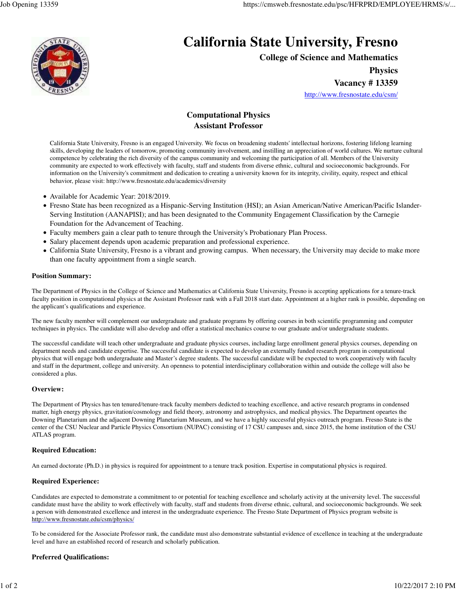

# **California State University, Fresno**

**College of Science and Mathematics**

**Physics**

**Vacancy # 13359**

http://www.fresnostate.edu/csm/

# **Computational Physics Assistant Professor**

California State University, Fresno is an engaged University. We focus on broadening students' intellectual horizons, fostering lifelong learning skills, developing the leaders of tomorrow, promoting community involvement, and instilling an appreciation of world cultures. We nurture cultural competence by celebrating the rich diversity of the campus community and welcoming the participation of all. Members of the University community are expected to work effectively with faculty, staff and students from diverse ethnic, cultural and socioeconomic backgrounds. For information on the University's commitment and dedication to creating a university known for its integrity, civility, equity, respect and ethical behavior, please visit: http://www.fresnostate.edu/academics/diversity

- Available for Academic Year: 2018/2019.
- Fresno State has been recognized as a Hispanic-Serving Institution (HSI); an Asian American/Native American/Pacific Islander-Serving Institution (AANAPISI); and has been designated to the Community Engagement Classification by the Carnegie Foundation for the Advancement of Teaching.
- Faculty members gain a clear path to tenure through the University's Probationary Plan Process.
- Salary placement depends upon academic preparation and professional experience.
- California State University, Fresno is a vibrant and growing campus. When necessary, the University may decide to make more than one faculty appointment from a single search.

## **Position Summary:**

The Department of Physics in the College of Science and Mathematics at California State University, Fresno is accepting applications for a tenure-track faculty position in computational physics at the Assistant Professor rank with a Fall 2018 start date. Appointment at a higher rank is possible, depending on the applicant's qualifications and experience.

The new faculty member will complement our undergraduate and graduate programs by offering courses in both scientific programming and computer techniques in physics. The candidate will also develop and offer a statistical mechanics course to our graduate and/or undergraduate students.

The successful candidate will teach other undergraduate and graduate physics courses, including large enrollment general physics courses, depending on department needs and candidate expertise. The successful candidate is expected to develop an externally funded research program in computational physics that will engage both undergraduate and Master's degree students. The successful candidate will be expected to work cooperatively with faculty and staff in the department, college and university. An openness to potential interdisciplinary collaboration within and outside the college will also be considered a plus.

## **Overview:**

The Department of Physics has ten tenured/tenure-track faculty members dedicted to teaching excellence, and active research programs in condensed matter, high energy physics, gravitation/cosmology and field theory, astronomy and astrophysics, and medical physics. The Department opeartes the Downing Planetarium and the adjacent Downing Planetarium Museum, and we have a highly successful physics outreach program. Fresno State is the center of the CSU Nuclear and Particle Physics Consortium (NUPAC) consisting of 17 CSU campuses and, since 2015, the home institution of the CSU ATLAS program.

## **Required Education:**

An earned doctorate (Ph.D.) in physics is required for appointment to a tenure track position. Expertise in computational physics is required.

## **Required Experience:**

Candidates are expected to demonstrate a commitment to or potential for teaching excellence and scholarly activity at the university level. The successful candidate must have the ability to work effectively with faculty, staff and students from diverse ethnic, cultural, and socioeconomic backgrounds. We seek a person with demonstrated excellence and interest in the undergraduate experience. The Fresno State Department of Physics program website is http://www.fresnostate.edu/csm/physics/

To be considered for the Associate Professor rank, the candidate must also demonstrate substantial evidence of excellence in teaching at the undergraduate level and have an established record of research and scholarly publication.

## **Preferred Qualifications:**